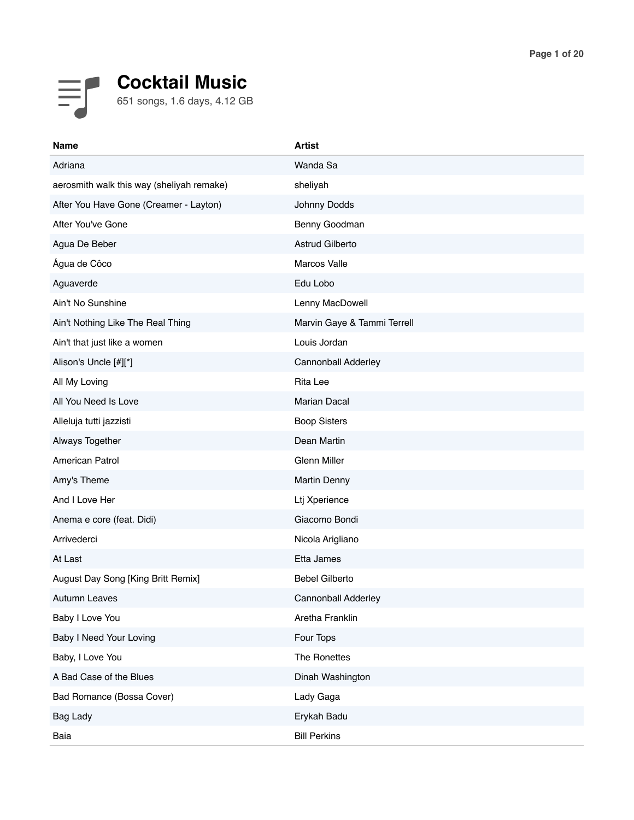

| <b>Name</b>                               | <b>Artist</b>               |
|-------------------------------------------|-----------------------------|
| Adriana                                   | Wanda Sa                    |
| aerosmith walk this way (sheliyah remake) | sheliyah                    |
| After You Have Gone (Creamer - Layton)    | Johnny Dodds                |
| After You've Gone                         | Benny Goodman               |
| Agua De Beber                             | Astrud Gilberto             |
| Água de Côco                              | Marcos Valle                |
| Aguaverde                                 | Edu Lobo                    |
| Ain't No Sunshine                         | Lenny MacDowell             |
| Ain't Nothing Like The Real Thing         | Marvin Gaye & Tammi Terrell |
| Ain't that just like a women              | Louis Jordan                |
| Alison's Uncle [#][*]                     | Cannonball Adderley         |
| All My Loving                             | <b>Rita Lee</b>             |
| All You Need Is Love                      | Marian Dacal                |
| Alleluja tutti jazzisti                   | <b>Boop Sisters</b>         |
| Always Together                           | Dean Martin                 |
| <b>American Patrol</b>                    | <b>Glenn Miller</b>         |
| Amy's Theme                               | <b>Martin Denny</b>         |
| And I Love Her                            | Ltj Xperience               |
| Anema e core (feat. Didi)                 | Giacomo Bondi               |
| Arrivederci                               | Nicola Arigliano            |
| At Last                                   | Etta James                  |
| August Day Song [King Britt Remix]        | <b>Bebel Gilberto</b>       |
| <b>Autumn Leaves</b>                      | Cannonball Adderley         |
| Baby I Love You                           | Aretha Franklin             |
| <b>Baby I Need Your Loving</b>            | Four Tops                   |
| Baby, I Love You                          | The Ronettes                |
| A Bad Case of the Blues                   | Dinah Washington            |
| Bad Romance (Bossa Cover)                 | Lady Gaga                   |
| Bag Lady                                  | Erykah Badu                 |
| Baia                                      | <b>Bill Perkins</b>         |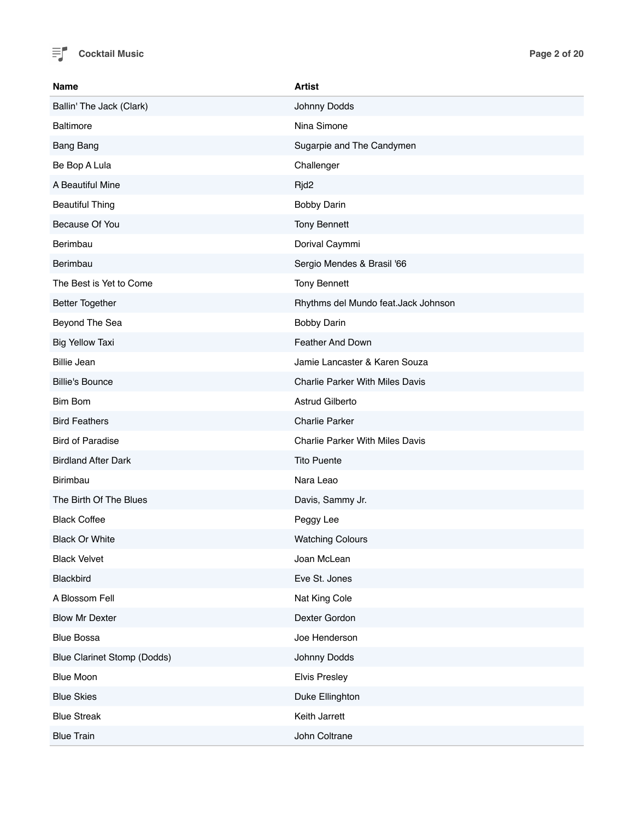

| <b>Name</b>                        | <b>Artist</b>                          |
|------------------------------------|----------------------------------------|
| Ballin' The Jack (Clark)           | Johnny Dodds                           |
| <b>Baltimore</b>                   | Nina Simone                            |
| <b>Bang Bang</b>                   | Sugarpie and The Candymen              |
| Be Bop A Lula                      | Challenger                             |
| A Beautiful Mine                   | Rjd2                                   |
| <b>Beautiful Thing</b>             | <b>Bobby Darin</b>                     |
| Because Of You                     | <b>Tony Bennett</b>                    |
| Berimbau                           | Dorival Caymmi                         |
| Berimbau                           | Sergio Mendes & Brasil '66             |
| The Best is Yet to Come            | <b>Tony Bennett</b>                    |
| <b>Better Together</b>             | Rhythms del Mundo feat.Jack Johnson    |
| Beyond The Sea                     | <b>Bobby Darin</b>                     |
| <b>Big Yellow Taxi</b>             | Feather And Down                       |
| <b>Billie Jean</b>                 | Jamie Lancaster & Karen Souza          |
| <b>Billie's Bounce</b>             | <b>Charlie Parker With Miles Davis</b> |
| <b>Bim Bom</b>                     | Astrud Gilberto                        |
| <b>Bird Feathers</b>               | <b>Charlie Parker</b>                  |
| <b>Bird of Paradise</b>            | <b>Charlie Parker With Miles Davis</b> |
| <b>Birdland After Dark</b>         | <b>Tito Puente</b>                     |
| <b>Birimbau</b>                    | Nara Leao                              |
| The Birth Of The Blues             | Davis, Sammy Jr.                       |
| <b>Black Coffee</b>                | Peggy Lee                              |
| <b>Black Or White</b>              | <b>Watching Colours</b>                |
| <b>Black Velvet</b>                | Joan McLean                            |
| Blackbird                          | Eve St. Jones                          |
| A Blossom Fell                     | Nat King Cole                          |
| <b>Blow Mr Dexter</b>              | Dexter Gordon                          |
| <b>Blue Bossa</b>                  | Joe Henderson                          |
| <b>Blue Clarinet Stomp (Dodds)</b> | Johnny Dodds                           |
| <b>Blue Moon</b>                   | <b>Elvis Presley</b>                   |
| <b>Blue Skies</b>                  | Duke Ellinghton                        |
| <b>Blue Streak</b>                 | Keith Jarrett                          |
| <b>Blue Train</b>                  | John Coltrane                          |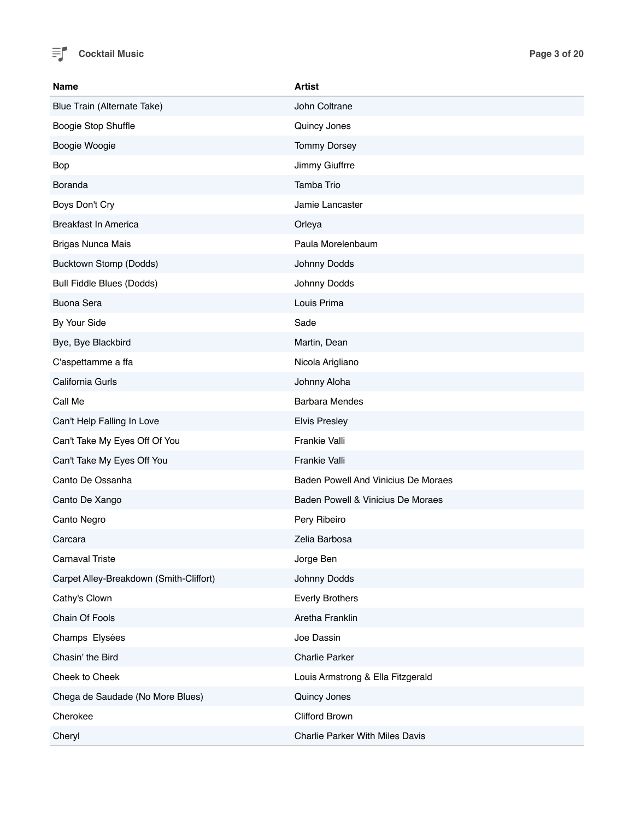

| <b>Name</b>                             | <b>Artist</b>                          |
|-----------------------------------------|----------------------------------------|
| Blue Train (Alternate Take)             | John Coltrane                          |
| Boogie Stop Shuffle                     | Quincy Jones                           |
| Boogie Woogie                           | <b>Tommy Dorsey</b>                    |
| Bop                                     | Jimmy Giuffrre                         |
| Boranda                                 | Tamba Trio                             |
| Boys Don't Cry                          | Jamie Lancaster                        |
| <b>Breakfast In America</b>             | Orleya                                 |
| <b>Brigas Nunca Mais</b>                | Paula Morelenbaum                      |
| Bucktown Stomp (Dodds)                  | Johnny Dodds                           |
| <b>Bull Fiddle Blues (Dodds)</b>        | Johnny Dodds                           |
| <b>Buona Sera</b>                       | Louis Prima                            |
| By Your Side                            | Sade                                   |
| Bye, Bye Blackbird                      | Martin, Dean                           |
| C'aspettamme a ffa                      | Nicola Arigliano                       |
| California Gurls                        | Johnny Aloha                           |
| Call Me                                 | <b>Barbara Mendes</b>                  |
| Can't Help Falling In Love              | <b>Elvis Presley</b>                   |
| Can't Take My Eyes Off Of You           | Frankie Valli                          |
| Can't Take My Eyes Off You              | Frankie Valli                          |
| Canto De Ossanha                        | Baden Powell And Vinicius De Moraes    |
| Canto De Xango                          | Baden Powell & Vinicius De Moraes      |
| Canto Negro                             | Pery Ribeiro                           |
| Carcara                                 | Zelia Barbosa                          |
| <b>Carnaval Triste</b>                  | Jorge Ben                              |
| Carpet Alley-Breakdown (Smith-Cliffort) | Johnny Dodds                           |
| Cathy's Clown                           | <b>Everly Brothers</b>                 |
| Chain Of Fools                          | Aretha Franklin                        |
| Champs Elysées                          | Joe Dassin                             |
| Chasin' the Bird                        | <b>Charlie Parker</b>                  |
| Cheek to Cheek                          | Louis Armstrong & Ella Fitzgerald      |
| Chega de Saudade (No More Blues)        | Quincy Jones                           |
| Cherokee                                | Clifford Brown                         |
| Cheryl                                  | <b>Charlie Parker With Miles Davis</b> |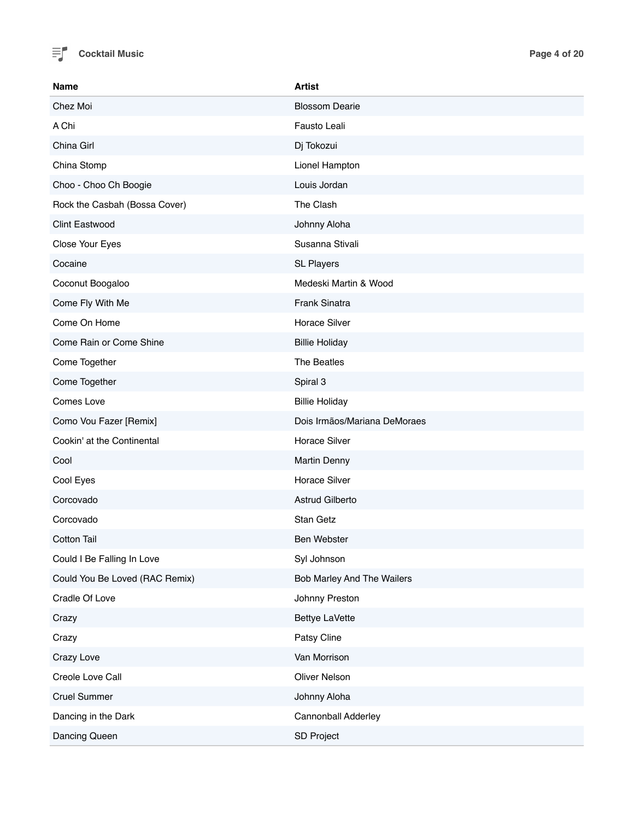

| <b>Name</b>                    | <b>Artist</b>                |
|--------------------------------|------------------------------|
| Chez Moi                       | <b>Blossom Dearie</b>        |
| A Chi                          | Fausto Leali                 |
| China Girl                     | Dj Tokozui                   |
| China Stomp                    | Lionel Hampton               |
| Choo - Choo Ch Boogie          | Louis Jordan                 |
| Rock the Casbah (Bossa Cover)  | The Clash                    |
| <b>Clint Eastwood</b>          | Johnny Aloha                 |
| Close Your Eyes                | Susanna Stivali              |
| Cocaine                        | <b>SL Players</b>            |
| Coconut Boogaloo               | Medeski Martin & Wood        |
| Come Fly With Me               | Frank Sinatra                |
| Come On Home                   | <b>Horace Silver</b>         |
| Come Rain or Come Shine        | <b>Billie Holiday</b>        |
| Come Together                  | The Beatles                  |
| Come Together                  | Spiral 3                     |
| Comes Love                     | <b>Billie Holiday</b>        |
| Como Vou Fazer [Remix]         | Dois Irmãos/Mariana DeMoraes |
| Cookin' at the Continental     | <b>Horace Silver</b>         |
| Cool                           | <b>Martin Denny</b>          |
| Cool Eyes                      | <b>Horace Silver</b>         |
| Corcovado                      | Astrud Gilberto              |
| Corcovado                      | Stan Getz                    |
| <b>Cotton Tail</b>             | <b>Ben Webster</b>           |
| Could I Be Falling In Love     | Syl Johnson                  |
| Could You Be Loved (RAC Remix) | Bob Marley And The Wailers   |
| Cradle Of Love                 | Johnny Preston               |
| Crazy                          | <b>Bettye LaVette</b>        |
| Crazy                          | Patsy Cline                  |
| Crazy Love                     | Van Morrison                 |
| Creole Love Call               | Oliver Nelson                |
| <b>Cruel Summer</b>            | Johnny Aloha                 |
| Dancing in the Dark            | Cannonball Adderley          |
| Dancing Queen                  | SD Project                   |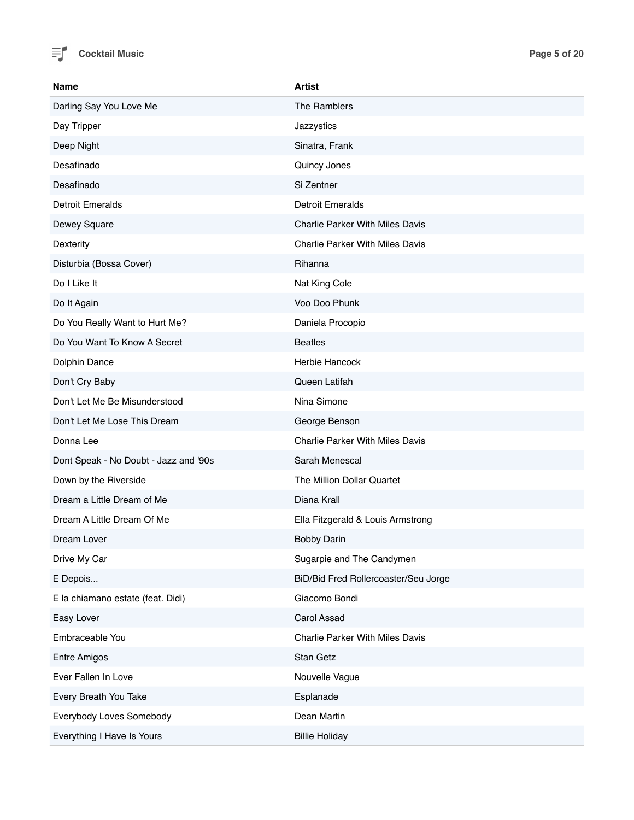

| <b>Name</b>                           | <b>Artist</b>                          |
|---------------------------------------|----------------------------------------|
| Darling Say You Love Me               | The Ramblers                           |
| Day Tripper                           | Jazzystics                             |
| Deep Night                            | Sinatra, Frank                         |
| Desafinado                            | Quincy Jones                           |
| Desafinado                            | Si Zentner                             |
| <b>Detroit Emeralds</b>               | <b>Detroit Emeralds</b>                |
| Dewey Square                          | <b>Charlie Parker With Miles Davis</b> |
| Dexterity                             | <b>Charlie Parker With Miles Davis</b> |
| Disturbia (Bossa Cover)               | Rihanna                                |
| Do I Like It                          | Nat King Cole                          |
| Do It Again                           | Voo Doo Phunk                          |
| Do You Really Want to Hurt Me?        | Daniela Procopio                       |
| Do You Want To Know A Secret          | <b>Beatles</b>                         |
| Dolphin Dance                         | Herbie Hancock                         |
| Don't Cry Baby                        | Queen Latifah                          |
| Don't Let Me Be Misunderstood         | Nina Simone                            |
| Don't Let Me Lose This Dream          | George Benson                          |
| Donna Lee                             | <b>Charlie Parker With Miles Davis</b> |
| Dont Speak - No Doubt - Jazz and '90s | Sarah Menescal                         |
| Down by the Riverside                 | The Million Dollar Quartet             |
| Dream a Little Dream of Me            | Diana Krall                            |
| Dream A Little Dream Of Me            | Ella Fitzgerald & Louis Armstrong      |
| Dream Lover                           | <b>Bobby Darin</b>                     |
| Drive My Car                          | Sugarpie and The Candymen              |
| E Depois                              | BiD/Bid Fred Rollercoaster/Seu Jorge   |
| E la chiamano estate (feat. Didi)     | Giacomo Bondi                          |
| Easy Lover                            | Carol Assad                            |
| Embraceable You                       | <b>Charlie Parker With Miles Davis</b> |
| <b>Entre Amigos</b>                   | Stan Getz                              |
| Ever Fallen In Love                   | Nouvelle Vague                         |
| Every Breath You Take                 | Esplanade                              |
| Everybody Loves Somebody              | Dean Martin                            |
| Everything I Have Is Yours            | <b>Billie Holiday</b>                  |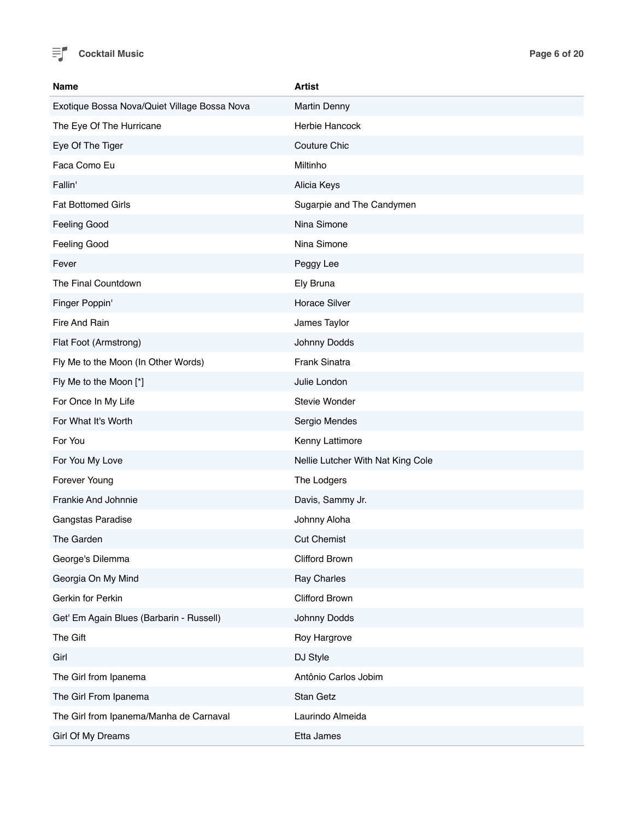

| Name                                         | <b>Artist</b>                     |
|----------------------------------------------|-----------------------------------|
| Exotique Bossa Nova/Quiet Village Bossa Nova | <b>Martin Denny</b>               |
| The Eye Of The Hurricane                     | Herbie Hancock                    |
| Eye Of The Tiger                             | <b>Couture Chic</b>               |
| Faca Como Eu                                 | Miltinho                          |
| Fallin'                                      | Alicia Keys                       |
| <b>Fat Bottomed Girls</b>                    | Sugarpie and The Candymen         |
| <b>Feeling Good</b>                          | Nina Simone                       |
| Feeling Good                                 | Nina Simone                       |
| Fever                                        | Peggy Lee                         |
| The Final Countdown                          | Ely Bruna                         |
| Finger Poppin'                               | <b>Horace Silver</b>              |
| Fire And Rain                                | James Taylor                      |
| Flat Foot (Armstrong)                        | Johnny Dodds                      |
| Fly Me to the Moon (In Other Words)          | Frank Sinatra                     |
| Fly Me to the Moon [*]                       | Julie London                      |
| For Once In My Life                          | <b>Stevie Wonder</b>              |
| For What It's Worth                          | Sergio Mendes                     |
| For You                                      | Kenny Lattimore                   |
| For You My Love                              | Nellie Lutcher With Nat King Cole |
| Forever Young                                | The Lodgers                       |
| Frankie And Johnnie                          | Davis, Sammy Jr.                  |
| Gangstas Paradise                            | Johnny Aloha                      |
| The Garden                                   | <b>Cut Chemist</b>                |
| George's Dilemma                             | Clifford Brown                    |
| Georgia On My Mind                           | Ray Charles                       |
| Gerkin for Perkin                            | Clifford Brown                    |
| Get' Em Again Blues (Barbarin - Russell)     | Johnny Dodds                      |
| The Gift                                     | Roy Hargrove                      |
| Girl                                         | DJ Style                          |
| The Girl from Ipanema                        | Antônio Carlos Jobim              |
| The Girl From Ipanema                        | Stan Getz                         |
| The Girl from Ipanema/Manha de Carnaval      | Laurindo Almeida                  |
| Girl Of My Dreams                            | Etta James                        |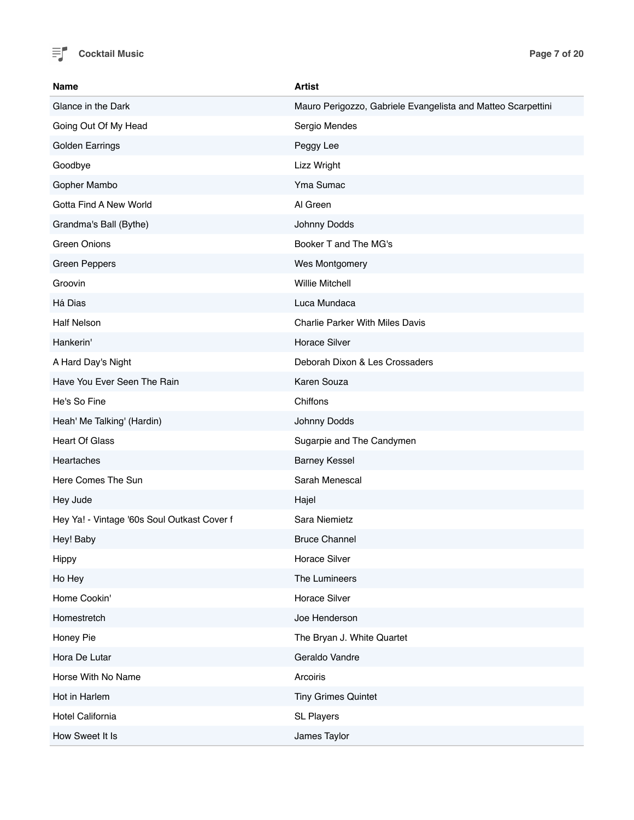

| <b>Name</b>                                 | <b>Artist</b>                                                |
|---------------------------------------------|--------------------------------------------------------------|
| Glance in the Dark                          | Mauro Perigozzo, Gabriele Evangelista and Matteo Scarpettini |
| Going Out Of My Head                        | Sergio Mendes                                                |
| <b>Golden Earrings</b>                      | Peggy Lee                                                    |
| Goodbye                                     | Lizz Wright                                                  |
| Gopher Mambo                                | Yma Sumac                                                    |
| Gotta Find A New World                      | Al Green                                                     |
| Grandma's Ball (Bythe)                      | Johnny Dodds                                                 |
| <b>Green Onions</b>                         | Booker T and The MG's                                        |
| <b>Green Peppers</b>                        | Wes Montgomery                                               |
| Groovin                                     | <b>Willie Mitchell</b>                                       |
| Há Dias                                     | Luca Mundaca                                                 |
| <b>Half Nelson</b>                          | <b>Charlie Parker With Miles Davis</b>                       |
| Hankerin'                                   | <b>Horace Silver</b>                                         |
| A Hard Day's Night                          | Deborah Dixon & Les Crossaders                               |
| Have You Ever Seen The Rain                 | Karen Souza                                                  |
| He's So Fine                                | Chiffons                                                     |
| Heah' Me Talking' (Hardin)                  | Johnny Dodds                                                 |
| <b>Heart Of Glass</b>                       | Sugarpie and The Candymen                                    |
| Heartaches                                  | <b>Barney Kessel</b>                                         |
| Here Comes The Sun                          | Sarah Menescal                                               |
| Hey Jude                                    | Hajel                                                        |
| Hey Ya! - Vintage '60s Soul Outkast Cover f | Sara Niemietz                                                |
| Hey! Baby                                   | <b>Bruce Channel</b>                                         |
| Hippy                                       | Horace Silver                                                |
| Ho Hey                                      | The Lumineers                                                |
| Home Cookin'                                | Horace Silver                                                |
| Homestretch                                 | Joe Henderson                                                |
| Honey Pie                                   | The Bryan J. White Quartet                                   |
| Hora De Lutar                               | Geraldo Vandre                                               |
| Horse With No Name                          | Arcoiris                                                     |
| Hot in Harlem                               | <b>Tiny Grimes Quintet</b>                                   |
| Hotel California                            | <b>SL Players</b>                                            |
| How Sweet It Is                             | James Taylor                                                 |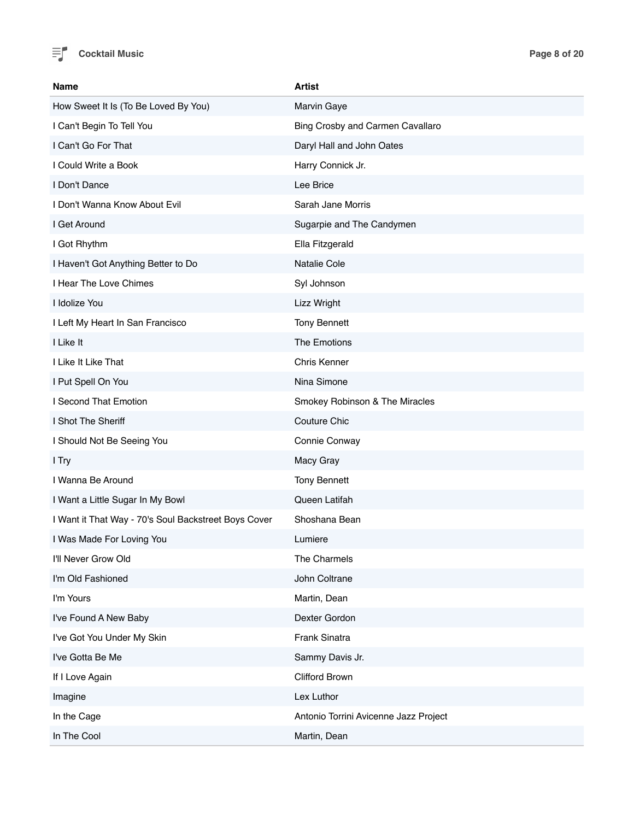

| <b>Name</b>                                          | <b>Artist</b>                         |
|------------------------------------------------------|---------------------------------------|
| How Sweet It Is (To Be Loved By You)                 | Marvin Gaye                           |
| I Can't Begin To Tell You                            | Bing Crosby and Carmen Cavallaro      |
| I Can't Go For That                                  | Daryl Hall and John Oates             |
| I Could Write a Book                                 | Harry Connick Jr.                     |
| I Don't Dance                                        | Lee Brice                             |
| I Don't Wanna Know About Evil                        | Sarah Jane Morris                     |
| I Get Around                                         | Sugarpie and The Candymen             |
| I Got Rhythm                                         | Ella Fitzgerald                       |
| I Haven't Got Anything Better to Do                  | Natalie Cole                          |
| I Hear The Love Chimes                               | Syl Johnson                           |
| I Idolize You                                        | Lizz Wright                           |
| I Left My Heart In San Francisco                     | <b>Tony Bennett</b>                   |
| I Like It                                            | The Emotions                          |
| I Like It Like That                                  | Chris Kenner                          |
| I Put Spell On You                                   | Nina Simone                           |
| I Second That Emotion                                | Smokey Robinson & The Miracles        |
| I Shot The Sheriff                                   | Couture Chic                          |
| I Should Not Be Seeing You                           | Connie Conway                         |
| I Try                                                | Macy Gray                             |
| I Wanna Be Around                                    | <b>Tony Bennett</b>                   |
| I Want a Little Sugar In My Bowl                     | Queen Latifah                         |
| I Want it That Way - 70's Soul Backstreet Boys Cover | Shoshana Bean                         |
| I Was Made For Loving You                            | Lumiere                               |
| I'll Never Grow Old                                  | The Charmels                          |
| I'm Old Fashioned                                    | John Coltrane                         |
| I'm Yours                                            | Martin, Dean                          |
| I've Found A New Baby                                | Dexter Gordon                         |
| I've Got You Under My Skin                           | Frank Sinatra                         |
| I've Gotta Be Me                                     | Sammy Davis Jr.                       |
| If I Love Again                                      | Clifford Brown                        |
| Imagine                                              | Lex Luthor                            |
| In the Cage                                          | Antonio Torrini Avicenne Jazz Project |
| In The Cool                                          | Martin, Dean                          |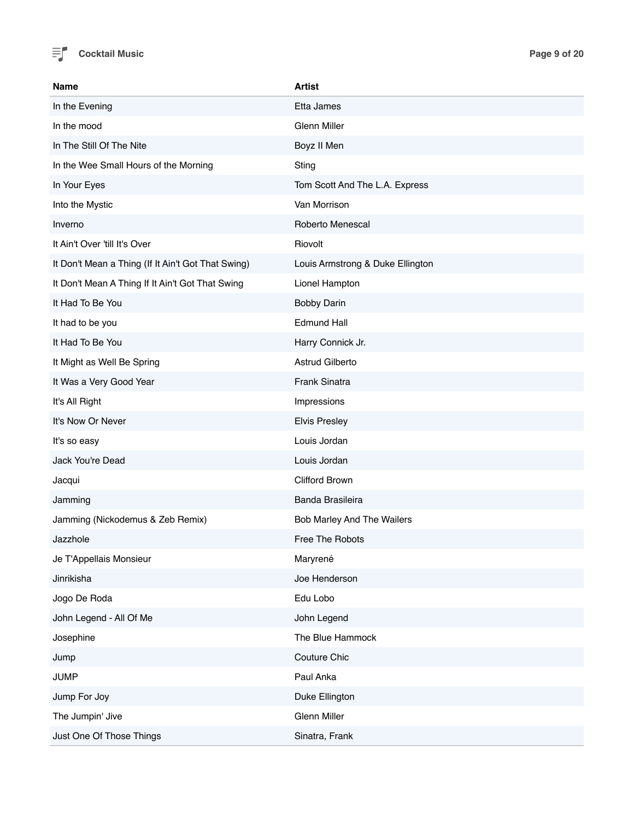

| <b>Name</b>                                        | <b>Artist</b>                    |
|----------------------------------------------------|----------------------------------|
| In the Evening                                     | Etta James                       |
| In the mood                                        | <b>Glenn Miller</b>              |
| In The Still Of The Nite                           | Boyz II Men                      |
| In the Wee Small Hours of the Morning              | Sting                            |
| In Your Eyes                                       | Tom Scott And The L.A. Express   |
| Into the Mystic                                    | Van Morrison                     |
| Inverno                                            | Roberto Menescal                 |
| It Ain't Over 'till It's Over                      | Riovolt                          |
| It Don't Mean a Thing (If It Ain't Got That Swing) | Louis Armstrong & Duke Ellington |
| It Don't Mean A Thing If It Ain't Got That Swing   | Lionel Hampton                   |
| It Had To Be You                                   | <b>Bobby Darin</b>               |
| It had to be you                                   | <b>Edmund Hall</b>               |
| It Had To Be You                                   | Harry Connick Jr.                |
| It Might as Well Be Spring                         | Astrud Gilberto                  |
| It Was a Very Good Year                            | Frank Sinatra                    |
| It's All Right                                     | Impressions                      |
| It's Now Or Never                                  | <b>Elvis Presley</b>             |
| It's so easy                                       | Louis Jordan                     |
| Jack You're Dead                                   | Louis Jordan                     |
| Jacqui                                             | Clifford Brown                   |
| Jamming                                            | Banda Brasileira                 |
| Jamming (Nickodemus & Zeb Remix)                   | Bob Marley And The Wailers       |
| Jazzhole                                           | <b>Free The Robots</b>           |
| Je T'Appellais Monsieur                            | Maryrené                         |
| Jinrikisha                                         | Joe Henderson                    |
| Jogo De Roda                                       | Edu Lobo                         |
| John Legend - All Of Me                            | John Legend                      |
| Josephine                                          | The Blue Hammock                 |
| Jump                                               | Couture Chic                     |
| <b>JUMP</b>                                        | Paul Anka                        |
| Jump For Joy                                       | Duke Ellington                   |
| The Jumpin' Jive                                   | Glenn Miller                     |
| Just One Of Those Things                           | Sinatra, Frank                   |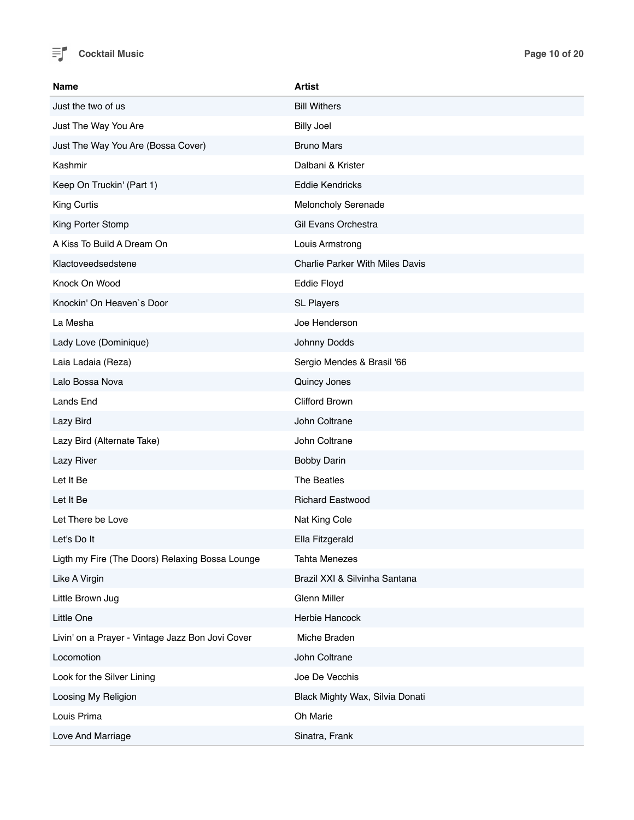

| <b>Name</b>                                      | <b>Artist</b>                          |
|--------------------------------------------------|----------------------------------------|
| Just the two of us                               | <b>Bill Withers</b>                    |
| Just The Way You Are                             | <b>Billy Joel</b>                      |
| Just The Way You Are (Bossa Cover)               | <b>Bruno Mars</b>                      |
| Kashmir                                          | Dalbani & Krister                      |
| Keep On Truckin' (Part 1)                        | <b>Eddie Kendricks</b>                 |
| King Curtis                                      | Meloncholy Serenade                    |
| King Porter Stomp                                | Gil Evans Orchestra                    |
| A Kiss To Build A Dream On                       | Louis Armstrong                        |
| Klactoveedsedstene                               | <b>Charlie Parker With Miles Davis</b> |
| Knock On Wood                                    | Eddie Floyd                            |
| Knockin' On Heaven's Door                        | <b>SL Players</b>                      |
| La Mesha                                         | Joe Henderson                          |
| Lady Love (Dominique)                            | Johnny Dodds                           |
| Laia Ladaia (Reza)                               | Sergio Mendes & Brasil '66             |
| Lalo Bossa Nova                                  | Quincy Jones                           |
| Lands End                                        | Clifford Brown                         |
| Lazy Bird                                        | John Coltrane                          |
| Lazy Bird (Alternate Take)                       | John Coltrane                          |
| Lazy River                                       | <b>Bobby Darin</b>                     |
| Let It Be                                        | The Beatles                            |
| Let It Be                                        | <b>Richard Eastwood</b>                |
| Let There be Love                                | Nat King Cole                          |
| Let's Do It                                      | Ella Fitzgerald                        |
| Ligth my Fire (The Doors) Relaxing Bossa Lounge  | <b>Tahta Menezes</b>                   |
| Like A Virgin                                    | Brazil XXI & Silvinha Santana          |
| Little Brown Jug                                 | Glenn Miller                           |
| Little One                                       | Herbie Hancock                         |
| Livin' on a Prayer - Vintage Jazz Bon Jovi Cover | Miche Braden                           |
| Locomotion                                       | John Coltrane                          |
| Look for the Silver Lining                       | Joe De Vecchis                         |
| Loosing My Religion                              | Black Mighty Wax, Silvia Donati        |
| Louis Prima                                      | Oh Marie                               |
| Love And Marriage                                | Sinatra, Frank                         |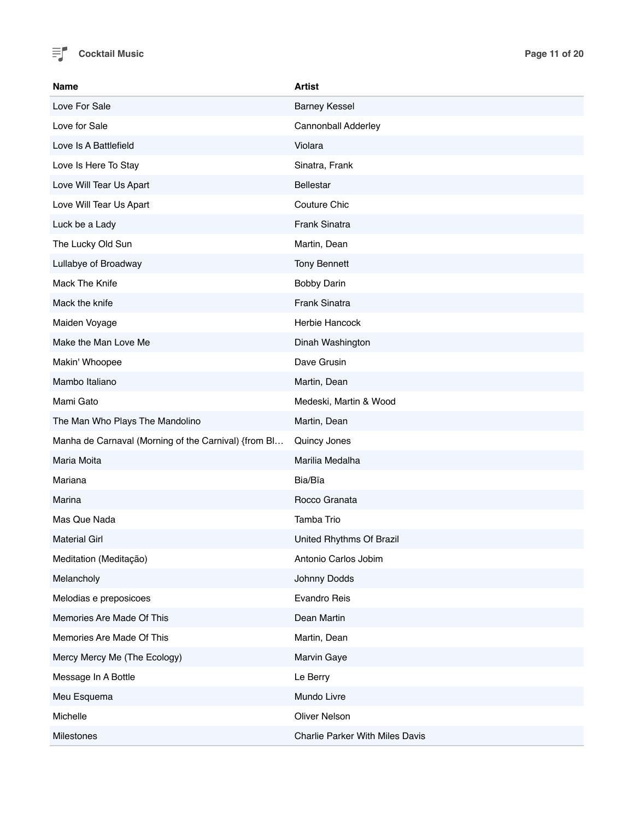

| Name                                                 | <b>Artist</b>                          |
|------------------------------------------------------|----------------------------------------|
| Love For Sale                                        | <b>Barney Kessel</b>                   |
| Love for Sale                                        | Cannonball Adderley                    |
| Love Is A Battlefield                                | Violara                                |
| Love Is Here To Stay                                 | Sinatra, Frank                         |
| Love Will Tear Us Apart                              | <b>Bellestar</b>                       |
| Love Will Tear Us Apart                              | Couture Chic                           |
| Luck be a Lady                                       | Frank Sinatra                          |
| The Lucky Old Sun                                    | Martin, Dean                           |
| Lullabye of Broadway                                 | <b>Tony Bennett</b>                    |
| Mack The Knife                                       | <b>Bobby Darin</b>                     |
| Mack the knife                                       | Frank Sinatra                          |
| Maiden Voyage                                        | Herbie Hancock                         |
| Make the Man Love Me                                 | Dinah Washington                       |
| Makin' Whoopee                                       | Dave Grusin                            |
| Mambo Italiano                                       | Martin, Dean                           |
| Mami Gato                                            | Medeski, Martin & Wood                 |
| The Man Who Plays The Mandolino                      | Martin, Dean                           |
| Manha de Carnaval (Morning of the Carnival) {from Bl | Quincy Jones                           |
| Maria Moita                                          | Marilia Medalha                        |
| Mariana                                              | Bia/Bïa                                |
| Marina                                               | Rocco Granata                          |
| Mas Que Nada                                         | Tamba Trio                             |
| <b>Material Girl</b>                                 | United Rhythms Of Brazil               |
| Meditation (Meditação)                               | Antonio Carlos Jobim                   |
| Melancholy                                           | Johnny Dodds                           |
| Melodias e preposicoes                               | Evandro Reis                           |
| Memories Are Made Of This                            | Dean Martin                            |
| Memories Are Made Of This                            | Martin, Dean                           |
| Mercy Mercy Me (The Ecology)                         | Marvin Gaye                            |
| Message In A Bottle                                  | Le Berry                               |
| Meu Esquema                                          | Mundo Livre                            |
| Michelle                                             | <b>Oliver Nelson</b>                   |
| Milestones                                           | <b>Charlie Parker With Miles Davis</b> |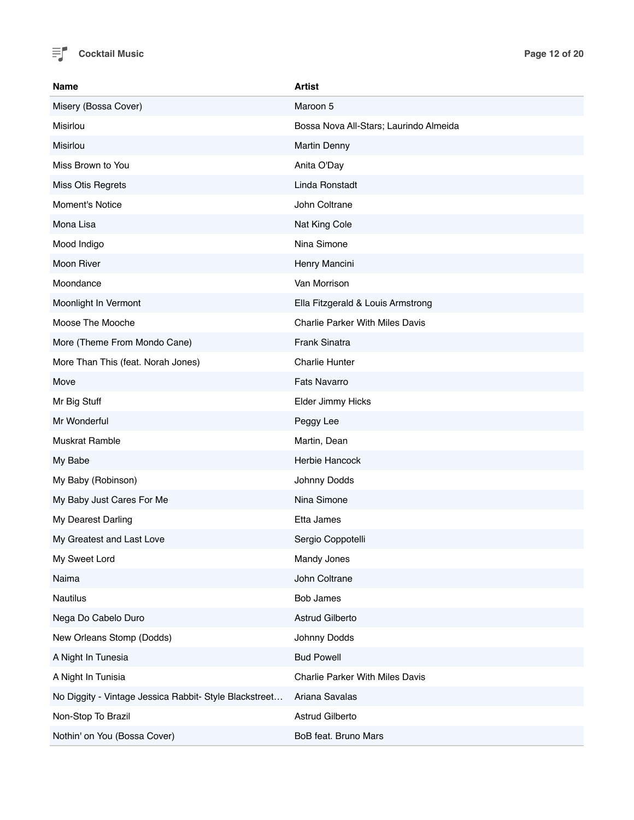

| <b>Name</b>                                            | <b>Artist</b>                          |
|--------------------------------------------------------|----------------------------------------|
| Misery (Bossa Cover)                                   | Maroon 5                               |
| Misirlou                                               | Bossa Nova All-Stars; Laurindo Almeida |
| Misirlou                                               | <b>Martin Denny</b>                    |
| Miss Brown to You                                      | Anita O'Day                            |
| Miss Otis Regrets                                      | Linda Ronstadt                         |
| <b>Moment's Notice</b>                                 | John Coltrane                          |
| Mona Lisa                                              | Nat King Cole                          |
| Mood Indigo                                            | Nina Simone                            |
| Moon River                                             | Henry Mancini                          |
| Moondance                                              | Van Morrison                           |
| Moonlight In Vermont                                   | Ella Fitzgerald & Louis Armstrong      |
| Moose The Mooche                                       | <b>Charlie Parker With Miles Davis</b> |
| More (Theme From Mondo Cane)                           | <b>Frank Sinatra</b>                   |
| More Than This (feat. Norah Jones)                     | <b>Charlie Hunter</b>                  |
| Move                                                   | <b>Fats Navarro</b>                    |
| Mr Big Stuff                                           | Elder Jimmy Hicks                      |
| Mr Wonderful                                           | Peggy Lee                              |
| <b>Muskrat Ramble</b>                                  | Martin, Dean                           |
| My Babe                                                | Herbie Hancock                         |
| My Baby (Robinson)                                     | Johnny Dodds                           |
| My Baby Just Cares For Me                              | Nina Simone                            |
| My Dearest Darling                                     | Etta James                             |
| My Greatest and Last Love                              | Sergio Coppotelli                      |
| My Sweet Lord                                          | Mandy Jones                            |
| Naima                                                  | John Coltrane                          |
| <b>Nautilus</b>                                        | <b>Bob James</b>                       |
| Nega Do Cabelo Duro                                    | Astrud Gilberto                        |
| New Orleans Stomp (Dodds)                              | Johnny Dodds                           |
| A Night In Tunesia                                     | <b>Bud Powell</b>                      |
| A Night In Tunisia                                     | <b>Charlie Parker With Miles Davis</b> |
| No Diggity - Vintage Jessica Rabbit- Style Blackstreet | Ariana Savalas                         |
| Non-Stop To Brazil                                     | Astrud Gilberto                        |
| Nothin' on You (Bossa Cover)                           | BoB feat. Bruno Mars                   |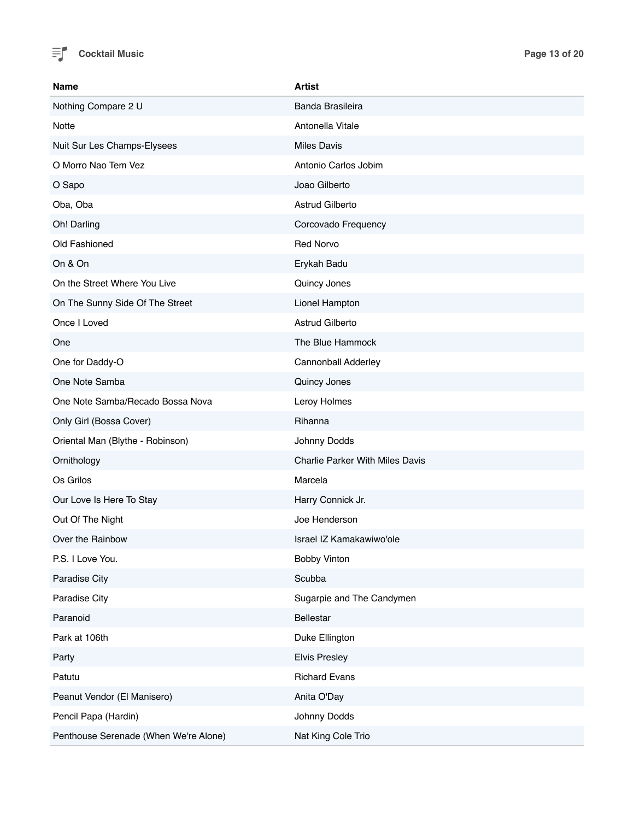

| Name                                  | <b>Artist</b>                          |
|---------------------------------------|----------------------------------------|
| Nothing Compare 2 U                   | Banda Brasileira                       |
| <b>Notte</b>                          | Antonella Vitale                       |
| Nuit Sur Les Champs-Elysees           | <b>Miles Davis</b>                     |
| O Morro Nao Tem Vez                   | Antonio Carlos Jobim                   |
| O Sapo                                | Joao Gilberto                          |
| Oba, Oba                              | Astrud Gilberto                        |
| Oh! Darling                           | Corcovado Frequency                    |
| Old Fashioned                         | <b>Red Norvo</b>                       |
| On & On                               | Erykah Badu                            |
| On the Street Where You Live          | Quincy Jones                           |
| On The Sunny Side Of The Street       | Lionel Hampton                         |
| Once I Loved                          | Astrud Gilberto                        |
| One                                   | The Blue Hammock                       |
| One for Daddy-O                       | Cannonball Adderley                    |
| One Note Samba                        | Quincy Jones                           |
| One Note Samba/Recado Bossa Nova      | Leroy Holmes                           |
| Only Girl (Bossa Cover)               | Rihanna                                |
| Oriental Man (Blythe - Robinson)      | Johnny Dodds                           |
| Ornithology                           | <b>Charlie Parker With Miles Davis</b> |
| Os Grilos                             | Marcela                                |
| Our Love Is Here To Stay              | Harry Connick Jr.                      |
| Out Of The Night                      | Joe Henderson                          |
| Over the Rainbow                      | Israel IZ Kamakawiwo'ole               |
| P.S. I Love You.                      | <b>Bobby Vinton</b>                    |
| Paradise City                         | Scubba                                 |
| Paradise City                         | Sugarpie and The Candymen              |
| Paranoid                              | Bellestar                              |
| Park at 106th                         | Duke Ellington                         |
| Party                                 | <b>Elvis Presley</b>                   |
| Patutu                                | <b>Richard Evans</b>                   |
| Peanut Vendor (El Manisero)           | Anita O'Day                            |
| Pencil Papa (Hardin)                  | Johnny Dodds                           |
| Penthouse Serenade (When We're Alone) | Nat King Cole Trio                     |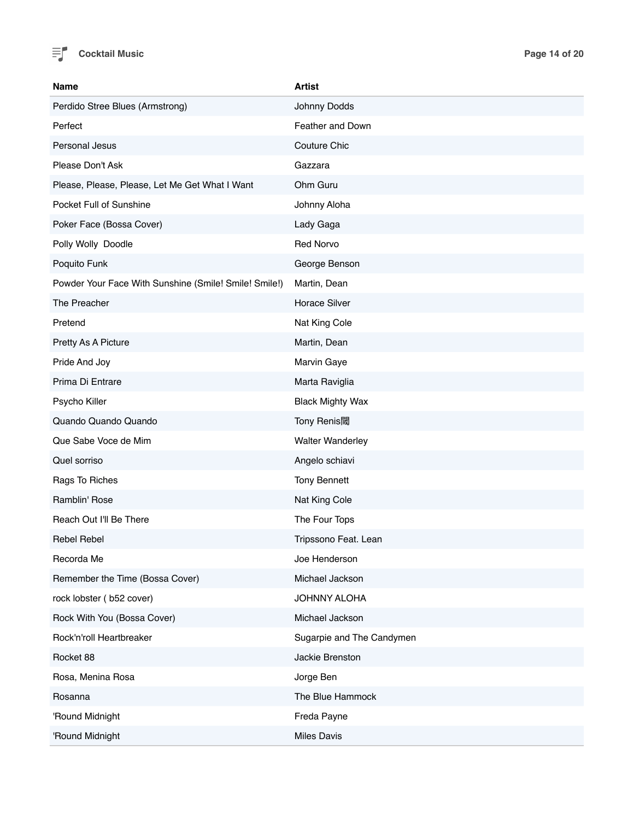

| Name                                                  | <b>Artist</b>             |
|-------------------------------------------------------|---------------------------|
| Perdido Stree Blues (Armstrong)                       | Johnny Dodds              |
| Perfect                                               | Feather and Down          |
| Personal Jesus                                        | <b>Couture Chic</b>       |
| Please Don't Ask                                      | Gazzara                   |
| Please, Please, Please, Let Me Get What I Want        | Ohm Guru                  |
| Pocket Full of Sunshine                               | Johnny Aloha              |
| Poker Face (Bossa Cover)                              | Lady Gaga                 |
| Polly Wolly Doodle                                    | <b>Red Norvo</b>          |
| Poquito Funk                                          | George Benson             |
| Powder Your Face With Sunshine (Smile! Smile! Smile!) | Martin, Dean              |
| The Preacher                                          | <b>Horace Silver</b>      |
| Pretend                                               | Nat King Cole             |
| Pretty As A Picture                                   | Martin, Dean              |
| Pride And Joy                                         | Marvin Gaye               |
| Prima Di Entrare                                      | Marta Raviglia            |
| Psycho Killer                                         | <b>Black Mighty Wax</b>   |
| Quando Quando Quando                                  | Tony Renis閾               |
| Que Sabe Voce de Mim                                  | <b>Walter Wanderley</b>   |
| Quel sorriso                                          | Angelo schiavi            |
| Rags To Riches                                        | <b>Tony Bennett</b>       |
| Ramblin' Rose                                         | Nat King Cole             |
| Reach Out I'll Be There                               | The Four Tops             |
| <b>Rebel Rebel</b>                                    | Tripssono Feat. Lean      |
| Recorda Me                                            | Joe Henderson             |
| Remember the Time (Bossa Cover)                       | Michael Jackson           |
| rock lobster (b52 cover)                              | JOHNNY ALOHA              |
| Rock With You (Bossa Cover)                           | Michael Jackson           |
| Rock'n'roll Heartbreaker                              | Sugarpie and The Candymen |
| Rocket 88                                             | Jackie Brenston           |
| Rosa, Menina Rosa                                     | Jorge Ben                 |
| Rosanna                                               | The Blue Hammock          |
| 'Round Midnight                                       | Freda Payne               |
| 'Round Midnight                                       | <b>Miles Davis</b>        |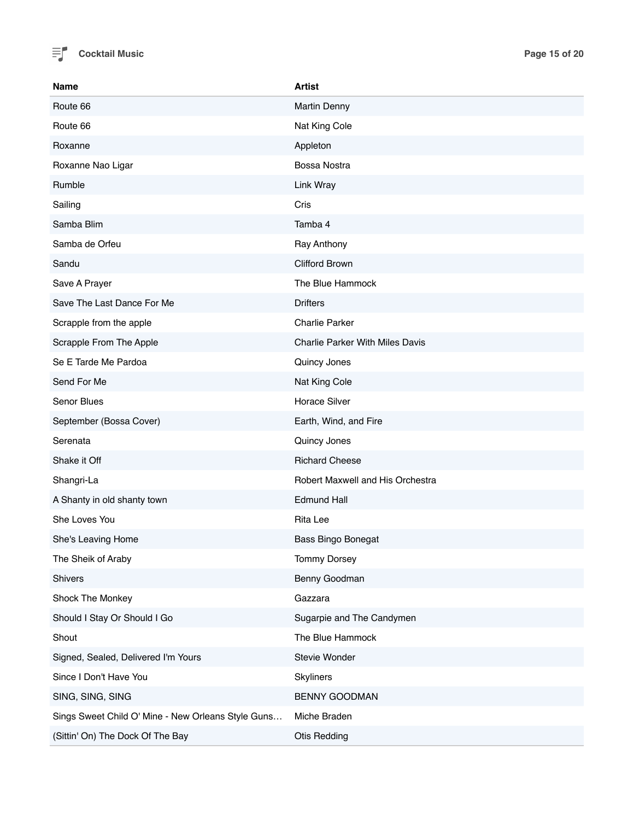

| Name                                               | <b>Artist</b>                          |
|----------------------------------------------------|----------------------------------------|
| Route 66                                           | <b>Martin Denny</b>                    |
| Route 66                                           | Nat King Cole                          |
| Roxanne                                            | Appleton                               |
| Roxanne Nao Ligar                                  | Bossa Nostra                           |
| Rumble                                             | Link Wray                              |
| Sailing                                            | Cris                                   |
| Samba Blim                                         | Tamba 4                                |
| Samba de Orfeu                                     | Ray Anthony                            |
| Sandu                                              | <b>Clifford Brown</b>                  |
| Save A Prayer                                      | The Blue Hammock                       |
| Save The Last Dance For Me                         | <b>Drifters</b>                        |
| Scrapple from the apple                            | <b>Charlie Parker</b>                  |
| Scrapple From The Apple                            | <b>Charlie Parker With Miles Davis</b> |
| Se E Tarde Me Pardoa                               | Quincy Jones                           |
| Send For Me                                        | Nat King Cole                          |
| Senor Blues                                        | <b>Horace Silver</b>                   |
| September (Bossa Cover)                            | Earth, Wind, and Fire                  |
| Serenata                                           | Quincy Jones                           |
| Shake it Off                                       | <b>Richard Cheese</b>                  |
| Shangri-La                                         | Robert Maxwell and His Orchestra       |
| A Shanty in old shanty town                        | <b>Edmund Hall</b>                     |
| She Loves You                                      | <b>Rita Lee</b>                        |
| She's Leaving Home                                 | <b>Bass Bingo Bonegat</b>              |
| The Sheik of Araby                                 | <b>Tommy Dorsey</b>                    |
| Shivers                                            | Benny Goodman                          |
| Shock The Monkey                                   | Gazzara                                |
| Should I Stay Or Should I Go                       | Sugarpie and The Candymen              |
| Shout                                              | The Blue Hammock                       |
| Signed, Sealed, Delivered I'm Yours                | Stevie Wonder                          |
| Since I Don't Have You                             | Skyliners                              |
| SING, SING, SING                                   | <b>BENNY GOODMAN</b>                   |
| Sings Sweet Child O' Mine - New Orleans Style Guns | Miche Braden                           |
| (Sittin' On) The Dock Of The Bay                   | <b>Otis Redding</b>                    |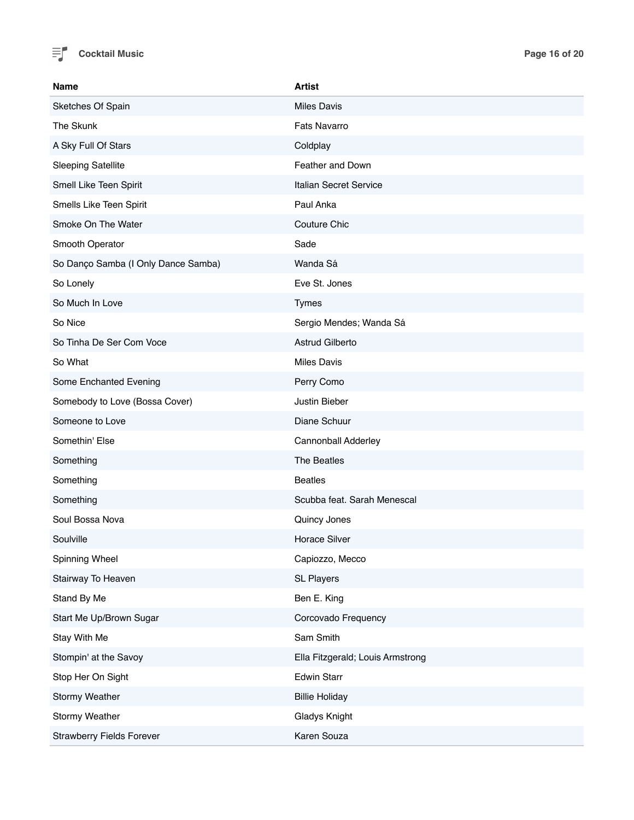

| <b>Name</b>                         | <b>Artist</b>                    |
|-------------------------------------|----------------------------------|
| Sketches Of Spain                   | <b>Miles Davis</b>               |
| The Skunk                           | <b>Fats Navarro</b>              |
| A Sky Full Of Stars                 | Coldplay                         |
| <b>Sleeping Satellite</b>           | Feather and Down                 |
| Smell Like Teen Spirit              | Italian Secret Service           |
| Smells Like Teen Spirit             | Paul Anka                        |
| Smoke On The Water                  | Couture Chic                     |
| Smooth Operator                     | Sade                             |
| So Danço Samba (I Only Dance Samba) | Wanda Sá                         |
| So Lonely                           | Eve St. Jones                    |
| So Much In Love                     | <b>Tymes</b>                     |
| So Nice                             | Sergio Mendes; Wanda Sá          |
| So Tinha De Ser Com Voce            | Astrud Gilberto                  |
| So What                             | <b>Miles Davis</b>               |
| Some Enchanted Evening              | Perry Como                       |
| Somebody to Love (Bossa Cover)      | Justin Bieber                    |
| Someone to Love                     | Diane Schuur                     |
| Somethin' Else                      | Cannonball Adderley              |
| Something                           | The Beatles                      |
| Something                           | <b>Beatles</b>                   |
| Something                           | Scubba feat. Sarah Menescal      |
| Soul Bossa Nova                     | Quincy Jones                     |
| Soulville                           | Horace Silver                    |
| Spinning Wheel                      | Capiozzo, Mecco                  |
| Stairway To Heaven                  | <b>SL Players</b>                |
| Stand By Me                         | Ben E. King                      |
| Start Me Up/Brown Sugar             | Corcovado Frequency              |
| Stay With Me                        | Sam Smith                        |
| Stompin' at the Savoy               | Ella Fitzgerald; Louis Armstrong |
| Stop Her On Sight                   | <b>Edwin Starr</b>               |
| Stormy Weather                      | <b>Billie Holiday</b>            |
| Stormy Weather                      | Gladys Knight                    |
| <b>Strawberry Fields Forever</b>    | Karen Souza                      |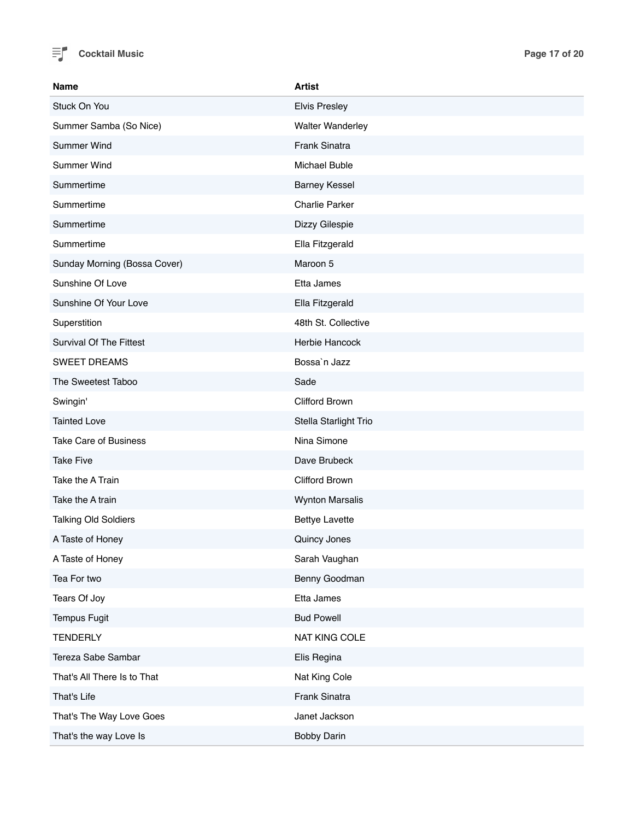

| Name                           | <b>Artist</b>           |
|--------------------------------|-------------------------|
| Stuck On You                   | <b>Elvis Presley</b>    |
| Summer Samba (So Nice)         | <b>Walter Wanderley</b> |
| Summer Wind                    | Frank Sinatra           |
| Summer Wind                    | Michael Buble           |
| Summertime                     | <b>Barney Kessel</b>    |
| Summertime                     | <b>Charlie Parker</b>   |
| Summertime                     | Dizzy Gilespie          |
| Summertime                     | Ella Fitzgerald         |
| Sunday Morning (Bossa Cover)   | Maroon 5                |
| Sunshine Of Love               | Etta James              |
| Sunshine Of Your Love          | Ella Fitzgerald         |
| Superstition                   | 48th St. Collective     |
| <b>Survival Of The Fittest</b> | Herbie Hancock          |
| <b>SWEET DREAMS</b>            | Bossa'n Jazz            |
| The Sweetest Taboo             | Sade                    |
| Swingin'                       | <b>Clifford Brown</b>   |
| <b>Tainted Love</b>            | Stella Starlight Trio   |
| <b>Take Care of Business</b>   | Nina Simone             |
| <b>Take Five</b>               | Dave Brubeck            |
| Take the A Train               | Clifford Brown          |
| Take the A train               | <b>Wynton Marsalis</b>  |
| <b>Talking Old Soldiers</b>    | <b>Bettye Lavette</b>   |
| A Taste of Honey               | Quincy Jones            |
| A Taste of Honey               | Sarah Vaughan           |
| Tea For two                    | Benny Goodman           |
| Tears Of Joy                   | Etta James              |
| <b>Tempus Fugit</b>            | <b>Bud Powell</b>       |
| <b>TENDERLY</b>                | NAT KING COLE           |
| Tereza Sabe Sambar             | Elis Regina             |
| That's All There Is to That    | Nat King Cole           |
| That's Life                    | Frank Sinatra           |
| That's The Way Love Goes       | Janet Jackson           |
| That's the way Love Is         | Bobby Darin             |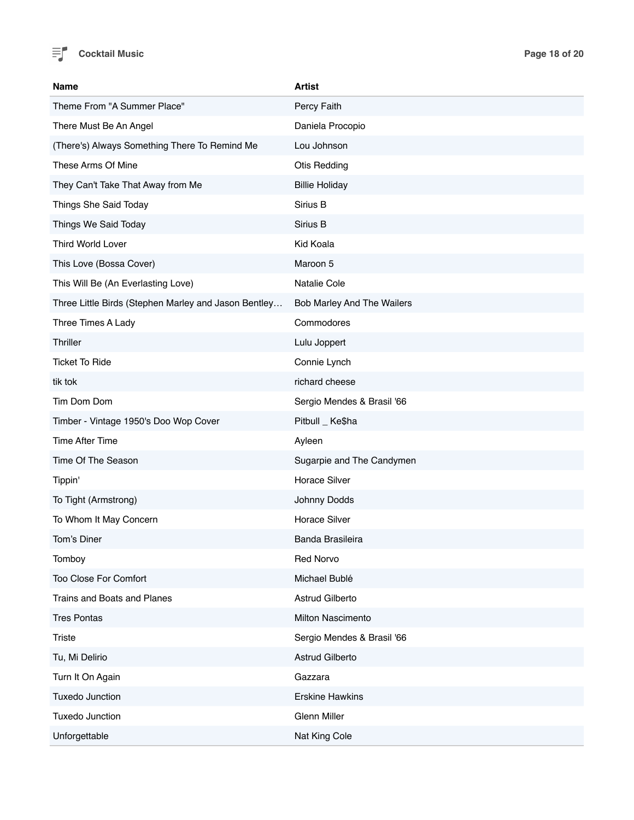

| <b>Name</b>                                          | <b>Artist</b>              |
|------------------------------------------------------|----------------------------|
| Theme From "A Summer Place"                          | Percy Faith                |
| There Must Be An Angel                               | Daniela Procopio           |
| (There's) Always Something There To Remind Me        | Lou Johnson                |
| These Arms Of Mine                                   | Otis Redding               |
| They Can't Take That Away from Me                    | <b>Billie Holiday</b>      |
| Things She Said Today                                | Sirius B                   |
| Things We Said Today                                 | Sirius B                   |
| <b>Third World Lover</b>                             | Kid Koala                  |
| This Love (Bossa Cover)                              | Maroon 5                   |
| This Will Be (An Everlasting Love)                   | Natalie Cole               |
| Three Little Birds (Stephen Marley and Jason Bentley | Bob Marley And The Wailers |
| Three Times A Lady                                   | Commodores                 |
| Thriller                                             | Lulu Joppert               |
| <b>Ticket To Ride</b>                                | Connie Lynch               |
| tik tok                                              | richard cheese             |
| Tim Dom Dom                                          | Sergio Mendes & Brasil '66 |
| Timber - Vintage 1950's Doo Wop Cover                | Pitbull _ Ke\$ha           |
| Time After Time                                      | Ayleen                     |
| Time Of The Season                                   | Sugarpie and The Candymen  |
| Tippin'                                              | <b>Horace Silver</b>       |
| To Tight (Armstrong)                                 | Johnny Dodds               |
| To Whom It May Concern                               | <b>Horace Silver</b>       |
| Tom's Diner                                          | <b>Banda Brasileira</b>    |
| Tomboy                                               | Red Norvo                  |
| <b>Too Close For Comfort</b>                         | Michael Bublé              |
| Trains and Boats and Planes                          | Astrud Gilberto            |
| <b>Tres Pontas</b>                                   | Milton Nascimento          |
| <b>Triste</b>                                        | Sergio Mendes & Brasil '66 |
| Tu, Mi Delirio                                       | Astrud Gilberto            |
| Turn It On Again                                     | Gazzara                    |
| <b>Tuxedo Junction</b>                               | <b>Erskine Hawkins</b>     |
| Tuxedo Junction                                      | <b>Glenn Miller</b>        |
| Unforgettable                                        | Nat King Cole              |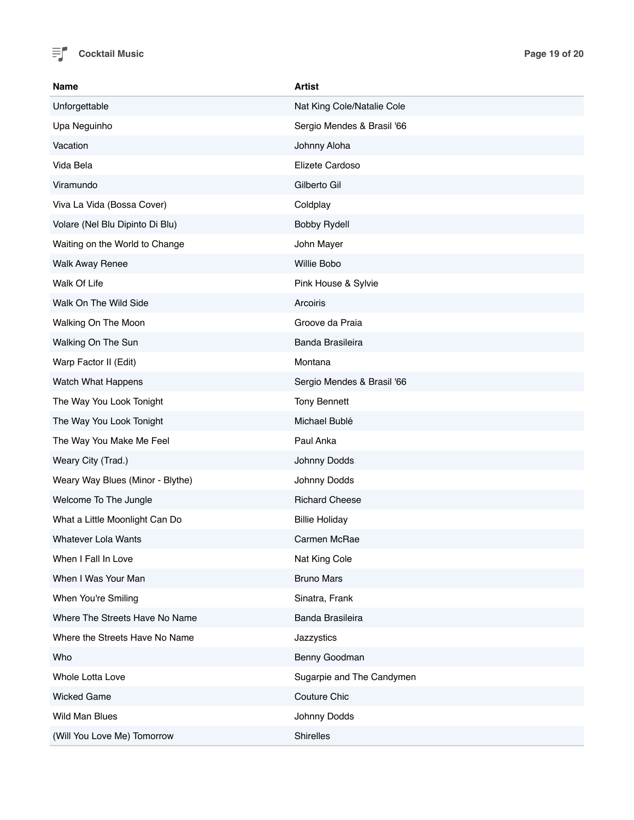

| Name                             | <b>Artist</b>              |
|----------------------------------|----------------------------|
| Unforgettable                    | Nat King Cole/Natalie Cole |
| Upa Neguinho                     | Sergio Mendes & Brasil '66 |
| Vacation                         | Johnny Aloha               |
| Vida Bela                        | Elizete Cardoso            |
| Viramundo                        | Gilberto Gil               |
| Viva La Vida (Bossa Cover)       | Coldplay                   |
| Volare (Nel Blu Dipinto Di Blu)  | <b>Bobby Rydell</b>        |
| Waiting on the World to Change   | John Mayer                 |
| <b>Walk Away Renee</b>           | Willie Bobo                |
| Walk Of Life                     | Pink House & Sylvie        |
| Walk On The Wild Side            | Arcoiris                   |
| Walking On The Moon              | Groove da Praia            |
| Walking On The Sun               | Banda Brasileira           |
| Warp Factor II (Edit)            | Montana                    |
| Watch What Happens               | Sergio Mendes & Brasil '66 |
| The Way You Look Tonight         | <b>Tony Bennett</b>        |
| The Way You Look Tonight         | Michael Bublé              |
| The Way You Make Me Feel         | Paul Anka                  |
| Weary City (Trad.)               | Johnny Dodds               |
| Weary Way Blues (Minor - Blythe) | Johnny Dodds               |
| Welcome To The Jungle            | <b>Richard Cheese</b>      |
| What a Little Moonlight Can Do   | <b>Billie Holiday</b>      |
| <b>Whatever Lola Wants</b>       | Carmen McRae               |
| When I Fall In Love              | Nat King Cole              |
| When I Was Your Man              | <b>Bruno Mars</b>          |
| When You're Smiling              | Sinatra, Frank             |
| Where The Streets Have No Name   | Banda Brasileira           |
| Where the Streets Have No Name   | Jazzystics                 |
| Who                              | Benny Goodman              |
| Whole Lotta Love                 | Sugarpie and The Candymen  |
| <b>Wicked Game</b>               | Couture Chic               |
| Wild Man Blues                   | Johnny Dodds               |
| (Will You Love Me) Tomorrow      | Shirelles                  |